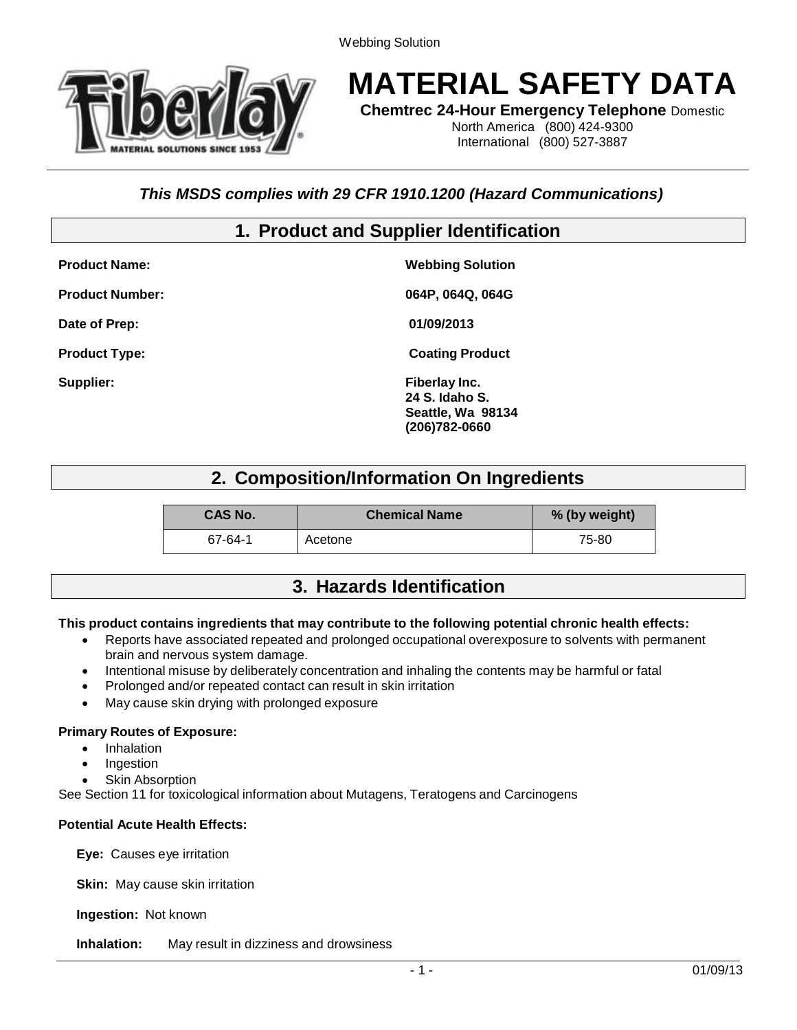

# **MATERIAL SAFETY DATA**

**Chemtrec 24-Hour Emergency Telephone** Domestic

North America (800) 424-9300 International (800) 527-3887

### *This MSDS complies with 29 CFR 1910.1200 (Hazard Communications)*

# **1. Product and Supplier Identification**

| <b>Product Name:</b>   | <b>Webbing Solution</b>                                               |
|------------------------|-----------------------------------------------------------------------|
| <b>Product Number:</b> | 064P, 064Q, 064G                                                      |
| Date of Prep:          | 01/09/2013                                                            |
| <b>Product Type:</b>   | <b>Coating Product</b>                                                |
| Supplier:              | Fiberlay Inc.<br>24 S. Idaho S.<br>Seattle, Wa 98134<br>(206)782-0660 |

# **2. Composition/Information On Ingredients**

| <b>CAS No.</b> | <b>Chemical Name</b> | % (by weight) |
|----------------|----------------------|---------------|
| 67-64-1        | Acetone              | 75-80         |

### **3. Hazards Identification**

#### **This product contains ingredients that may contribute to the following potential chronic health effects:**

- Reports have associated repeated and prolonged occupational overexposure to solvents with permanent brain and nervous system damage.
- Intentional misuse by deliberately concentration and inhaling the contents may be harmful or fatal
- Prolonged and/or repeated contact can result in skin irritation
- May cause skin drying with prolonged exposure

#### **Primary Routes of Exposure:**

- Inhalation
- Ingestion
- Skin Absorption

See Section 11 for toxicological information about Mutagens, Teratogens and Carcinogens

#### **Potential Acute Health Effects:**

**Eye:** Causes eye irritation

**Skin:** May cause skin irritation

**Ingestion:** Not known

**Inhalation:** May result in dizziness and drowsiness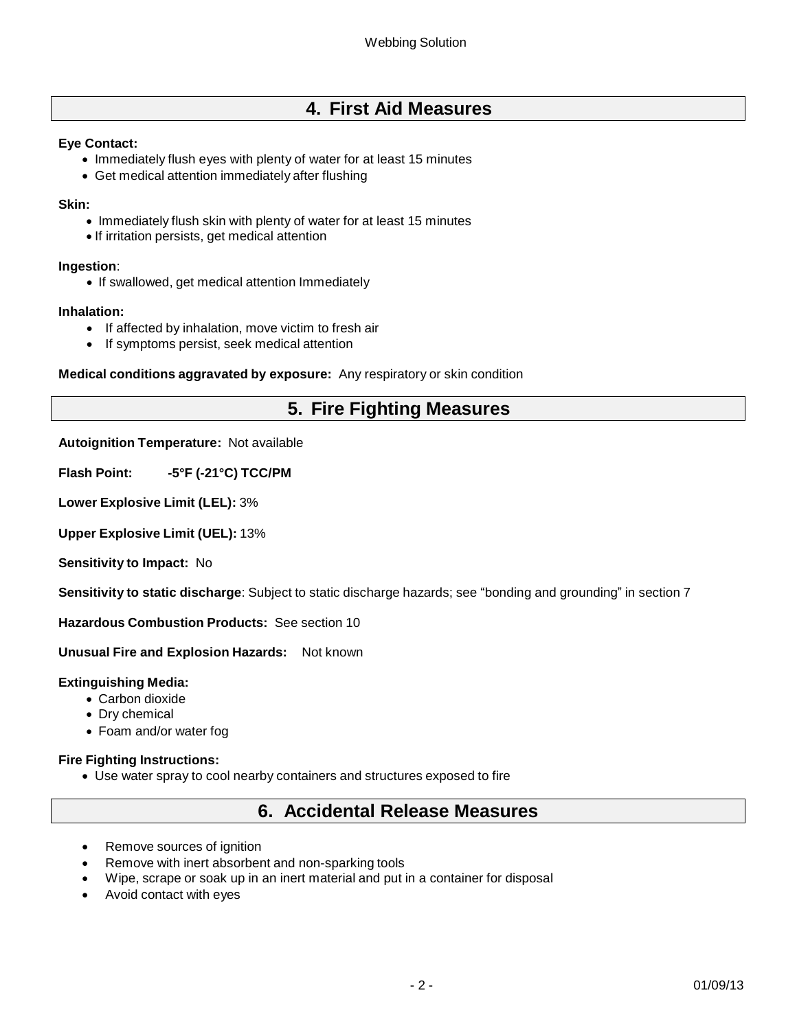# **4. First Aid Measures**

#### **Eye Contact:**

- Immediately flush eyes with plenty of water for at least 15 minutes
- Get medical attention immediately after flushing

#### **Skin:**

- Immediately flush skin with plenty of water for at least 15 minutes
- If irritation persists, get medical attention

#### **Ingestion**:

• If swallowed, get medical attention Immediately

#### **Inhalation:**

- If affected by inhalation, move victim to fresh air
- If symptoms persist, seek medical attention

**Medical conditions aggravated by exposure:** Any respiratory or skin condition

# **5. Fire Fighting Measures**

#### **Autoignition Temperature:** Not available

**Flash Point: -5°F (-21°C) TCC/PM** 

**Lower Explosive Limit (LEL):** 3%

**Upper Explosive Limit (UEL):** 13%

**Sensitivity to Impact:** No

**Sensitivity to static discharge**: Subject to static discharge hazards; see "bonding and grounding" in section 7

**Hazardous Combustion Products:** See section 10

**Unusual Fire and Explosion Hazards:** Not known

#### **Extinguishing Media:**

- Carbon dioxide
- Dry chemical
- Foam and/or water fog

#### **Fire Fighting Instructions:**

Use water spray to cool nearby containers and structures exposed to fire

### **6. Accidental Release Measures**

- Remove sources of ignition
- Remove with inert absorbent and non-sparking tools
- Wipe, scrape or soak up in an inert material and put in a container for disposal
- Avoid contact with eyes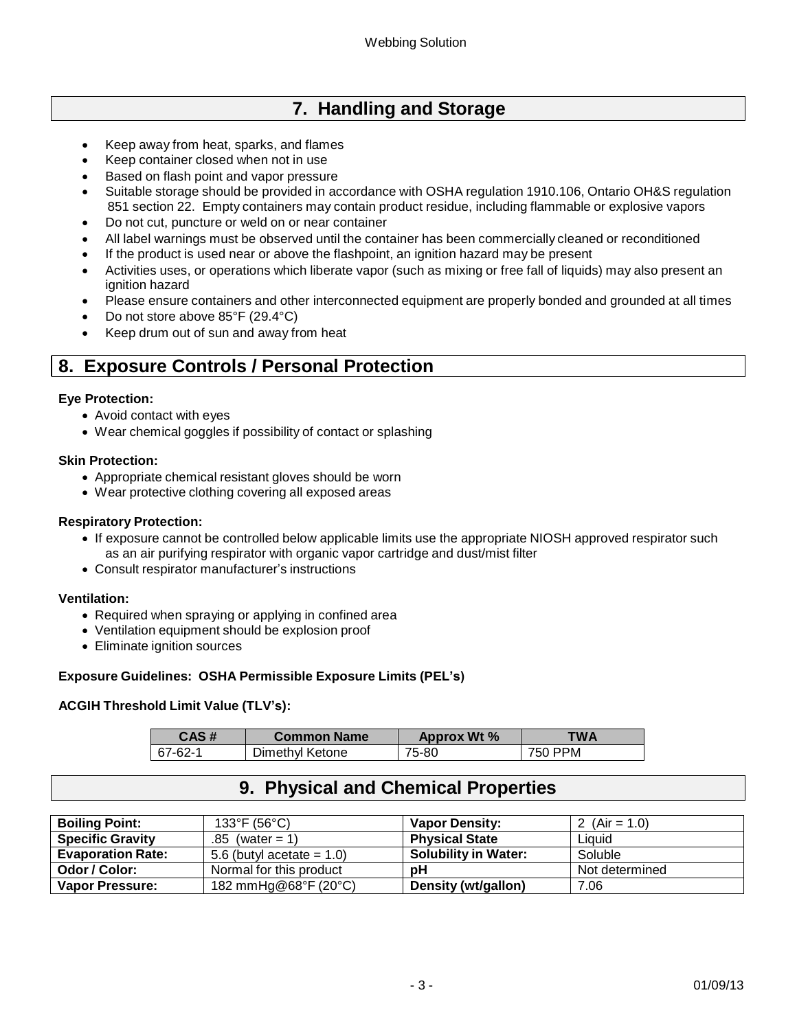# **7. Handling and Storage**

- Keep away from heat, sparks, and flames
- Keep container closed when not in use
- Based on flash point and vapor pressure
- Suitable storage should be provided in accordance with OSHA regulation 1910.106, Ontario OH&S regulation 851 section 22. Empty containers may contain product residue, including flammable or explosive vapors
- Do not cut, puncture or weld on or near container
- All label warnings must be observed until the container has been commercially cleaned or reconditioned
- If the product is used near or above the flashpoint, an ignition hazard may be present
- Activities uses, or operations which liberate vapor (such as mixing or free fall of liquids) may also present an ignition hazard
- Please ensure containers and other interconnected equipment are properly bonded and grounded at all times
- Do not store above 85°F (29.4°C)
- Keep drum out of sun and away from heat

# **8. Exposure Controls / Personal Protection**

#### **Eye Protection:**

- Avoid contact with eyes
- Wear chemical goggles if possibility of contact or splashing

#### **Skin Protection:**

- Appropriate chemical resistant gloves should be worn
- Wear protective clothing covering all exposed areas

#### **Respiratory Protection:**

- If exposure cannot be controlled below applicable limits use the appropriate NIOSH approved respirator such as an air purifying respirator with organic vapor cartridge and dust/mist filter
- Consult respirator manufacturer's instructions

#### **Ventilation:**

- Required when spraying or applying in confined area
- Ventilation equipment should be explosion proof
- Eliminate ignition sources

#### **Exposure Guidelines: OSHA Permissible Exposure Limits (PEL's)**

#### **ACGIH Threshold Limit Value (TLV's):**

| CAS#    | <b>Common Name</b> | <b>Approx Wt %</b> | TWA     |
|---------|--------------------|--------------------|---------|
| 67-62-1 | Dimethyl Ketone    | 75-80              | 750 PPM |

### **9. Physical and Chemical Properties**

| <b>Boiling Point:</b>    | 133°F (56°C).                | <b>Vapor Density:</b>       | 2 (Air = 1.0)  |
|--------------------------|------------------------------|-----------------------------|----------------|
| <b>Specific Gravity</b>  | $.85$ (water = 1)            | <b>Physical State</b>       | Liauid         |
| <b>Evaporation Rate:</b> | 5.6 (butyl acetate $= 1.0$ ) | <b>Solubility in Water:</b> | Soluble        |
| Odor / Color:            | Normal for this product      | рH                          | Not determined |
| <b>Vapor Pressure:</b>   | 182 mmHg@68°F (20°C)         | Density (wt/gallon)         | 7.06           |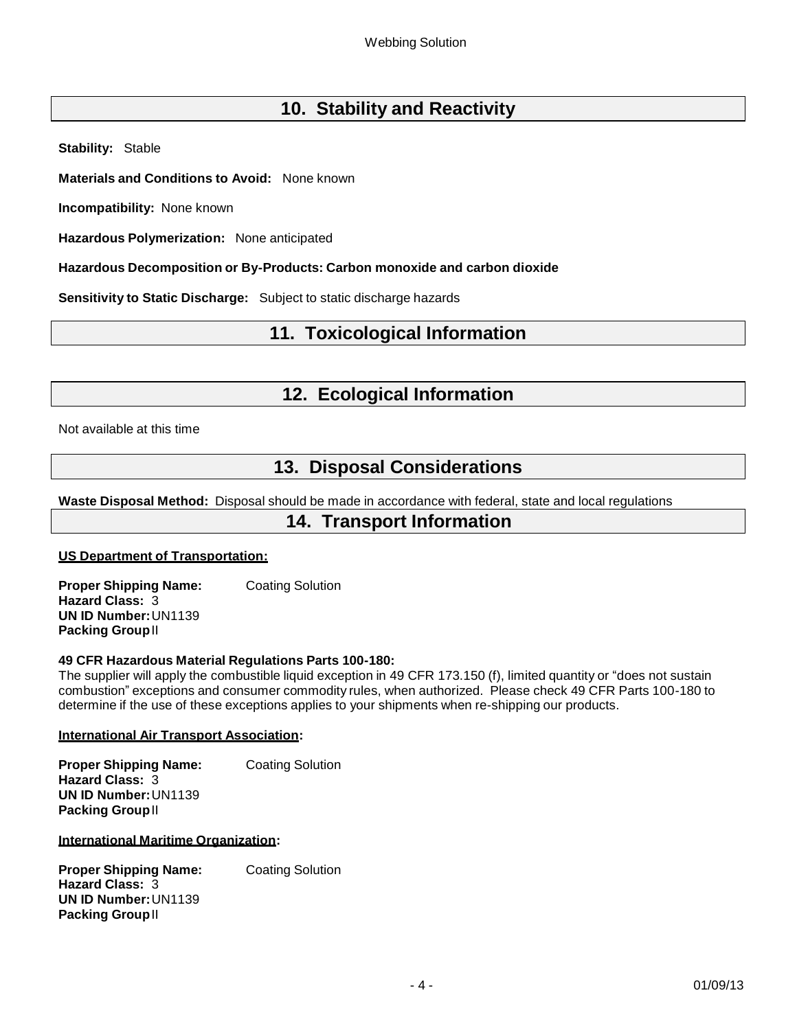# **10. Stability and Reactivity**

**Stability:** Stable

**Materials and Conditions to Avoid:** None known

**Incompatibility:** None known

**Hazardous Polymerization:** None anticipated

**Hazardous Decomposition or By-Products: Carbon monoxide and carbon dioxide**

**Sensitivity to Static Discharge:** Subject to static discharge hazards

# **11. Toxicological Information**

### **12. Ecological Information**

Not available at this time

# **13. Disposal Considerations**

**Waste Disposal Method:** Disposal should be made in accordance with federal, state and local regulations

### **14. Transport Information**

#### **US Department of Transportation:**

**Proper Shipping Name:** Coating Solution **Hazard Class:** 3 **UN ID Number:**UN1139 **Packing Group**II

#### **49 CFR Hazardous Material Regulations Parts 100-180:**

The supplier will apply the combustible liquid exception in 49 CFR 173.150 (f), limited quantity or "does not sustain combustion" exceptions and consumer commodity rules, when authorized. Please check 49 CFR Parts 100-180 to determine if the use of these exceptions applies to your shipments when re-shipping our products.

#### **International Air Transport Association:**

**Proper Shipping Name:** Coating Solution **Hazard Class:** 3 **UN ID Number:**UN1139 **Packing Group**II

#### **International Maritime Organization:**

**Proper Shipping Name:** Coating Solution **Hazard Class:** 3 **UN ID Number:**UN1139 **Packing Group**II